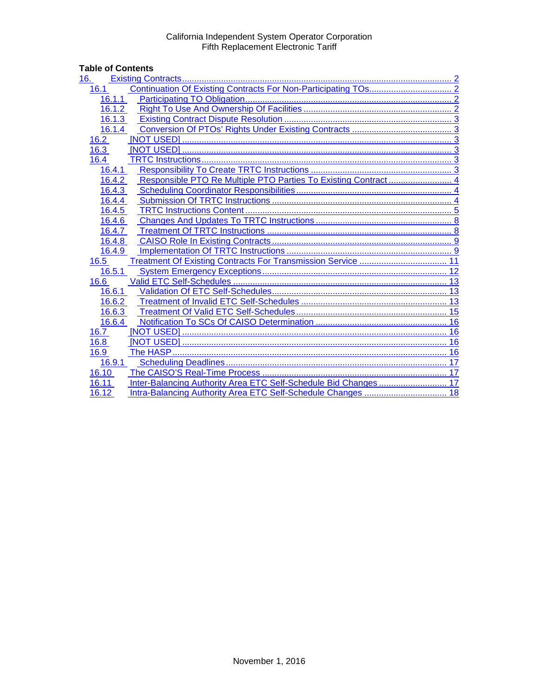# **Table of Contents**<br>16. **Existing Co**

| 16.                                                                      |    |
|--------------------------------------------------------------------------|----|
| 16.1                                                                     |    |
| 16.1.1                                                                   |    |
| 16.1.2                                                                   |    |
| 16.1.3                                                                   |    |
| 16.1.4                                                                   |    |
| 16.2                                                                     |    |
| 16.3                                                                     |    |
| 16.4                                                                     |    |
| 16.4.1                                                                   |    |
| 16.4.2                                                                   |    |
| 16.4.3                                                                   |    |
| 16.4.4                                                                   |    |
| 16.4.5                                                                   |    |
| 16.4.6                                                                   |    |
| 16.4.7                                                                   |    |
| 16.4.8                                                                   |    |
| 16.4.9                                                                   |    |
| Treatment Of Existing Contracts For Transmission Service  11<br>16.5     |    |
| 16.5.1                                                                   |    |
| 16.6                                                                     |    |
| 16.6.1                                                                   |    |
| 16.6.2                                                                   |    |
| 16.6.3                                                                   |    |
| 16.6.4                                                                   |    |
| 16.7                                                                     |    |
| 16.8                                                                     | 16 |
| 16.9                                                                     |    |
| 16.9.1                                                                   |    |
| 16.10                                                                    | 17 |
| Inter-Balancing Authority Area ETC Self-Schedule Bid Changes 17<br>16.11 |    |
| 16.12                                                                    |    |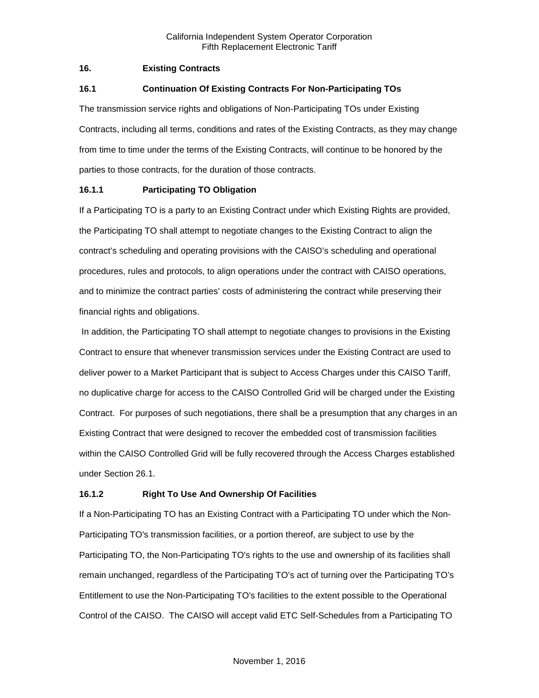# <span id="page-1-0"></span>**16. Existing Contracts**

# <span id="page-1-1"></span>**16.1 Continuation Of Existing Contracts For Non-Participating TOs**

The transmission service rights and obligations of Non-Participating TOs under Existing Contracts, including all terms, conditions and rates of the Existing Contracts, as they may change from time to time under the terms of the Existing Contracts, will continue to be honored by the parties to those contracts, for the duration of those contracts.

# <span id="page-1-2"></span>**16.1.1 Participating TO Obligation**

If a Participating TO is a party to an Existing Contract under which Existing Rights are provided, the Participating TO shall attempt to negotiate changes to the Existing Contract to align the contract's scheduling and operating provisions with the CAISO's scheduling and operational procedures, rules and protocols, to align operations under the contract with CAISO operations, and to minimize the contract parties' costs of administering the contract while preserving their financial rights and obligations.

In addition, the Participating TO shall attempt to negotiate changes to provisions in the Existing Contract to ensure that whenever transmission services under the Existing Contract are used to deliver power to a Market Participant that is subject to Access Charges under this CAISO Tariff, no duplicative charge for access to the CAISO Controlled Grid will be charged under the Existing Contract. For purposes of such negotiations, there shall be a presumption that any charges in an Existing Contract that were designed to recover the embedded cost of transmission facilities within the CAISO Controlled Grid will be fully recovered through the Access Charges established under Section 26.1.

# <span id="page-1-3"></span>**16.1.2 Right To Use And Ownership Of Facilities**

If a Non-Participating TO has an Existing Contract with a Participating TO under which the Non-Participating TO's transmission facilities, or a portion thereof, are subject to use by the Participating TO, the Non-Participating TO's rights to the use and ownership of its facilities shall remain unchanged, regardless of the Participating TO's act of turning over the Participating TO's Entitlement to use the Non-Participating TO's facilities to the extent possible to the Operational Control of the CAISO. The CAISO will accept valid ETC Self-Schedules from a Participating TO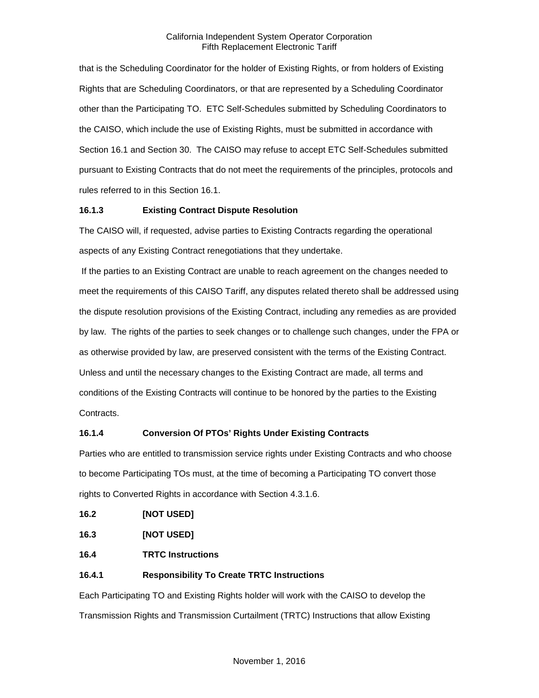that is the Scheduling Coordinator for the holder of Existing Rights, or from holders of Existing Rights that are Scheduling Coordinators, or that are represented by a Scheduling Coordinator other than the Participating TO. ETC Self-Schedules submitted by Scheduling Coordinators to the CAISO, which include the use of Existing Rights, must be submitted in accordance with Section 16.1 and Section 30. The CAISO may refuse to accept ETC Self-Schedules submitted pursuant to Existing Contracts that do not meet the requirements of the principles, protocols and rules referred to in this Section 16.1.

# <span id="page-2-0"></span>**16.1.3 Existing Contract Dispute Resolution**

The CAISO will, if requested, advise parties to Existing Contracts regarding the operational aspects of any Existing Contract renegotiations that they undertake.

If the parties to an Existing Contract are unable to reach agreement on the changes needed to meet the requirements of this CAISO Tariff, any disputes related thereto shall be addressed using the dispute resolution provisions of the Existing Contract, including any remedies as are provided by law. The rights of the parties to seek changes or to challenge such changes, under the FPA or as otherwise provided by law, are preserved consistent with the terms of the Existing Contract. Unless and until the necessary changes to the Existing Contract are made, all terms and conditions of the Existing Contracts will continue to be honored by the parties to the Existing Contracts.

# <span id="page-2-1"></span>**16.1.4 Conversion Of PTOs' Rights Under Existing Contracts**

Parties who are entitled to transmission service rights under Existing Contracts and who choose to become Participating TOs must, at the time of becoming a Participating TO convert those rights to Converted Rights in accordance with Section 4.3.1.6.

<span id="page-2-2"></span>

<span id="page-2-3"></span>**16.3 [NOT USED]**

<span id="page-2-4"></span>**16.4 TRTC Instructions**

# <span id="page-2-5"></span>**16.4.1 Responsibility To Create TRTC Instructions**

Each Participating TO and Existing Rights holder will work with the CAISO to develop the Transmission Rights and Transmission Curtailment (TRTC) Instructions that allow Existing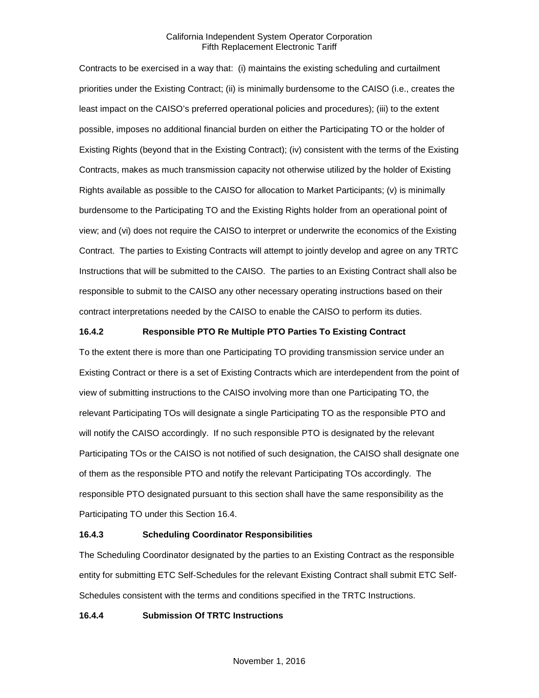Contracts to be exercised in a way that: (i) maintains the existing scheduling and curtailment priorities under the Existing Contract; (ii) is minimally burdensome to the CAISO (i.e., creates the least impact on the CAISO's preferred operational policies and procedures); (iii) to the extent possible, imposes no additional financial burden on either the Participating TO or the holder of Existing Rights (beyond that in the Existing Contract); (iv) consistent with the terms of the Existing Contracts, makes as much transmission capacity not otherwise utilized by the holder of Existing Rights available as possible to the CAISO for allocation to Market Participants; (v) is minimally burdensome to the Participating TO and the Existing Rights holder from an operational point of view; and (vi) does not require the CAISO to interpret or underwrite the economics of the Existing Contract. The parties to Existing Contracts will attempt to jointly develop and agree on any TRTC Instructions that will be submitted to the CAISO. The parties to an Existing Contract shall also be responsible to submit to the CAISO any other necessary operating instructions based on their contract interpretations needed by the CAISO to enable the CAISO to perform its duties.

# <span id="page-3-0"></span>**16.4.2 Responsible PTO Re Multiple PTO Parties To Existing Contract**

To the extent there is more than one Participating TO providing transmission service under an Existing Contract or there is a set of Existing Contracts which are interdependent from the point of view of submitting instructions to the CAISO involving more than one Participating TO, the relevant Participating TOs will designate a single Participating TO as the responsible PTO and will notify the CAISO accordingly. If no such responsible PTO is designated by the relevant Participating TOs or the CAISO is not notified of such designation, the CAISO shall designate one of them as the responsible PTO and notify the relevant Participating TOs accordingly. The responsible PTO designated pursuant to this section shall have the same responsibility as the Participating TO under this Section 16.4.

## <span id="page-3-1"></span>**16.4.3 Scheduling Coordinator Responsibilities**

The Scheduling Coordinator designated by the parties to an Existing Contract as the responsible entity for submitting ETC Self-Schedules for the relevant Existing Contract shall submit ETC Self-Schedules consistent with the terms and conditions specified in the TRTC Instructions.

#### <span id="page-3-2"></span>**16.4.4 Submission Of TRTC Instructions**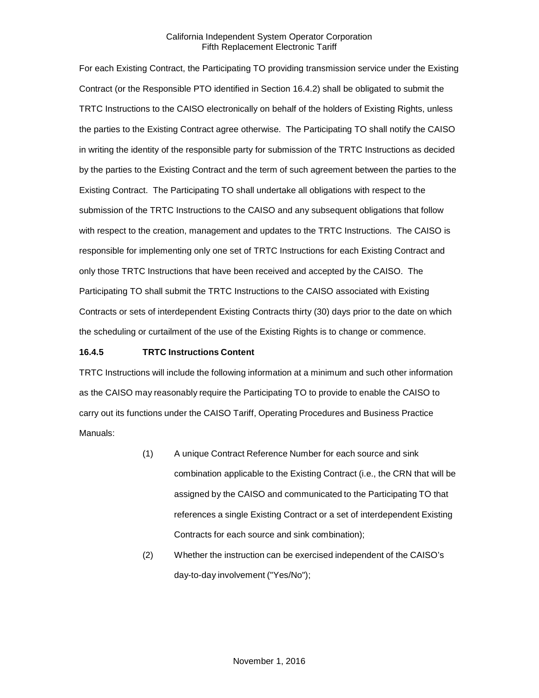For each Existing Contract, the Participating TO providing transmission service under the Existing Contract (or the Responsible PTO identified in Section 16.4.2) shall be obligated to submit the TRTC Instructions to the CAISO electronically on behalf of the holders of Existing Rights, unless the parties to the Existing Contract agree otherwise. The Participating TO shall notify the CAISO in writing the identity of the responsible party for submission of the TRTC Instructions as decided by the parties to the Existing Contract and the term of such agreement between the parties to the Existing Contract. The Participating TO shall undertake all obligations with respect to the submission of the TRTC Instructions to the CAISO and any subsequent obligations that follow with respect to the creation, management and updates to the TRTC Instructions. The CAISO is responsible for implementing only one set of TRTC Instructions for each Existing Contract and only those TRTC Instructions that have been received and accepted by the CAISO. The Participating TO shall submit the TRTC Instructions to the CAISO associated with Existing Contracts or sets of interdependent Existing Contracts thirty (30) days prior to the date on which the scheduling or curtailment of the use of the Existing Rights is to change or commence.

# <span id="page-4-0"></span>**16.4.5 TRTC Instructions Content**

TRTC Instructions will include the following information at a minimum and such other information as the CAISO may reasonably require the Participating TO to provide to enable the CAISO to carry out its functions under the CAISO Tariff, Operating Procedures and Business Practice Manuals:

- (1) A unique Contract Reference Number for each source and sink combination applicable to the Existing Contract (i.e., the CRN that will be assigned by the CAISO and communicated to the Participating TO that references a single Existing Contract or a set of interdependent Existing Contracts for each source and sink combination);
- (2) Whether the instruction can be exercised independent of the CAISO's day-to-day involvement ("Yes/No");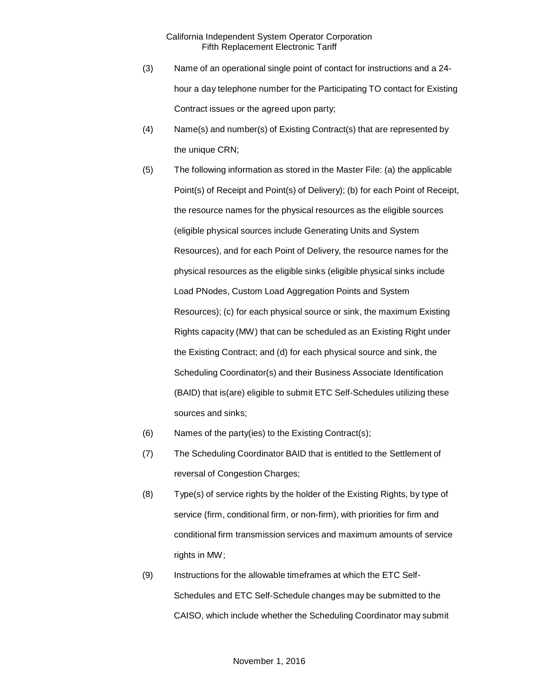- (3) Name of an operational single point of contact for instructions and a 24 hour a day telephone number for the Participating TO contact for Existing Contract issues or the agreed upon party;
- (4) Name(s) and number(s) of Existing Contract(s) that are represented by the unique CRN;
- (5) The following information as stored in the Master File: (a) the applicable Point(s) of Receipt and Point(s) of Delivery); (b) for each Point of Receipt, the resource names for the physical resources as the eligible sources (eligible physical sources include Generating Units and System Resources), and for each Point of Delivery, the resource names for the physical resources as the eligible sinks (eligible physical sinks include Load PNodes, Custom Load Aggregation Points and System Resources); (c) for each physical source or sink, the maximum Existing Rights capacity (MW) that can be scheduled as an Existing Right under the Existing Contract; and (d) for each physical source and sink, the Scheduling Coordinator(s) and their Business Associate Identification (BAID) that is(are) eligible to submit ETC Self-Schedules utilizing these sources and sinks;
- (6) Names of the party(ies) to the Existing Contract(s);
- (7) The Scheduling Coordinator BAID that is entitled to the Settlement of reversal of Congestion Charges;
- (8) Type(s) of service rights by the holder of the Existing Rights, by type of service (firm, conditional firm, or non-firm), with priorities for firm and conditional firm transmission services and maximum amounts of service rights in MW;
- (9) Instructions for the allowable timeframes at which the ETC Self-Schedules and ETC Self-Schedule changes may be submitted to the CAISO, which include whether the Scheduling Coordinator may submit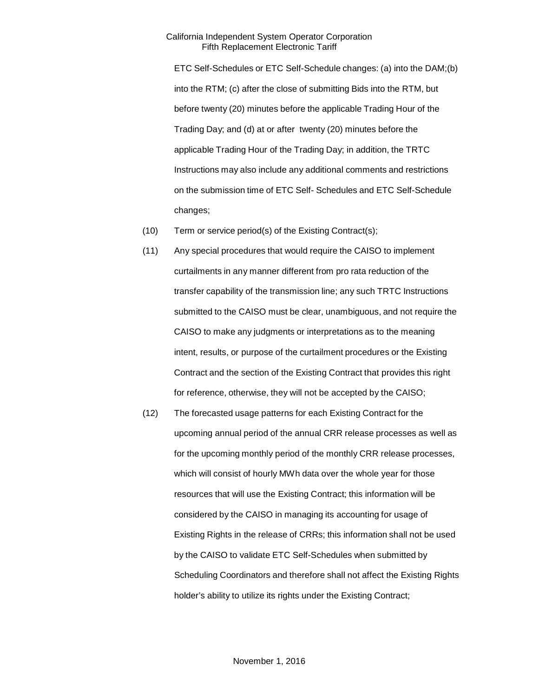ETC Self-Schedules or ETC Self-Schedule changes: (a) into the DAM;(b) into the RTM; (c) after the close of submitting Bids into the RTM, but before twenty (20) minutes before the applicable Trading Hour of the Trading Day; and (d) at or after twenty (20) minutes before the applicable Trading Hour of the Trading Day; in addition, the TRTC Instructions may also include any additional comments and restrictions on the submission time of ETC Self- Schedules and ETC Self-Schedule changes;

- (10) Term or service period(s) of the Existing Contract(s);
- (11) Any special procedures that would require the CAISO to implement curtailments in any manner different from pro rata reduction of the transfer capability of the transmission line; any such TRTC Instructions submitted to the CAISO must be clear, unambiguous, and not require the CAISO to make any judgments or interpretations as to the meaning intent, results, or purpose of the curtailment procedures or the Existing Contract and the section of the Existing Contract that provides this right for reference, otherwise, they will not be accepted by the CAISO;
- (12) The forecasted usage patterns for each Existing Contract for the upcoming annual period of the annual CRR release processes as well as for the upcoming monthly period of the monthly CRR release processes, which will consist of hourly MWh data over the whole year for those resources that will use the Existing Contract; this information will be considered by the CAISO in managing its accounting for usage of Existing Rights in the release of CRRs; this information shall not be used by the CAISO to validate ETC Self-Schedules when submitted by Scheduling Coordinators and therefore shall not affect the Existing Rights holder's ability to utilize its rights under the Existing Contract;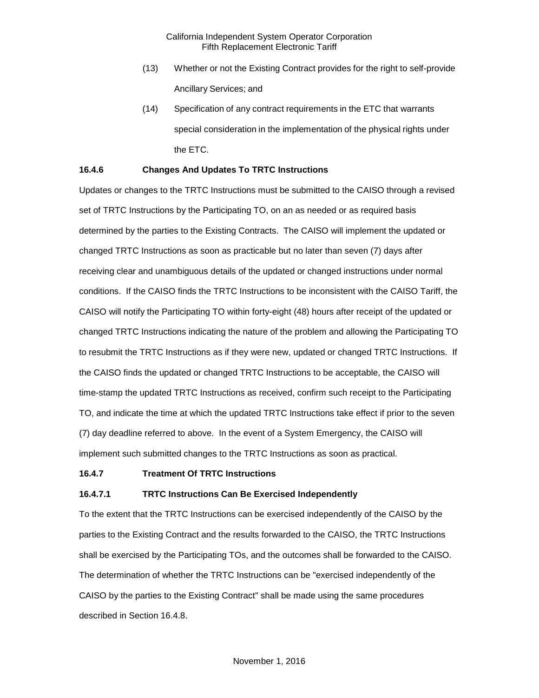- (13) Whether or not the Existing Contract provides for the right to self-provide Ancillary Services; and
- (14) Specification of any contract requirements in the ETC that warrants special consideration in the implementation of the physical rights under the ETC.

## <span id="page-7-0"></span>**16.4.6 Changes And Updates To TRTC Instructions**

Updates or changes to the TRTC Instructions must be submitted to the CAISO through a revised set of TRTC Instructions by the Participating TO, on an as needed or as required basis determined by the parties to the Existing Contracts. The CAISO will implement the updated or changed TRTC Instructions as soon as practicable but no later than seven (7) days after receiving clear and unambiguous details of the updated or changed instructions under normal conditions. If the CAISO finds the TRTC Instructions to be inconsistent with the CAISO Tariff, the CAISO will notify the Participating TO within forty-eight (48) hours after receipt of the updated or changed TRTC Instructions indicating the nature of the problem and allowing the Participating TO to resubmit the TRTC Instructions as if they were new, updated or changed TRTC Instructions. If the CAISO finds the updated or changed TRTC Instructions to be acceptable, the CAISO will time-stamp the updated TRTC Instructions as received, confirm such receipt to the Participating TO, and indicate the time at which the updated TRTC Instructions take effect if prior to the seven (7) day deadline referred to above. In the event of a System Emergency, the CAISO will implement such submitted changes to the TRTC Instructions as soon as practical.

#### <span id="page-7-1"></span>**16.4.7 Treatment Of TRTC Instructions**

#### **16.4.7.1 TRTC Instructions Can Be Exercised Independently**

To the extent that the TRTC Instructions can be exercised independently of the CAISO by the parties to the Existing Contract and the results forwarded to the CAISO, the TRTC Instructions shall be exercised by the Participating TOs, and the outcomes shall be forwarded to the CAISO. The determination of whether the TRTC Instructions can be "exercised independently of the CAISO by the parties to the Existing Contract" shall be made using the same procedures described in Section 16.4.8.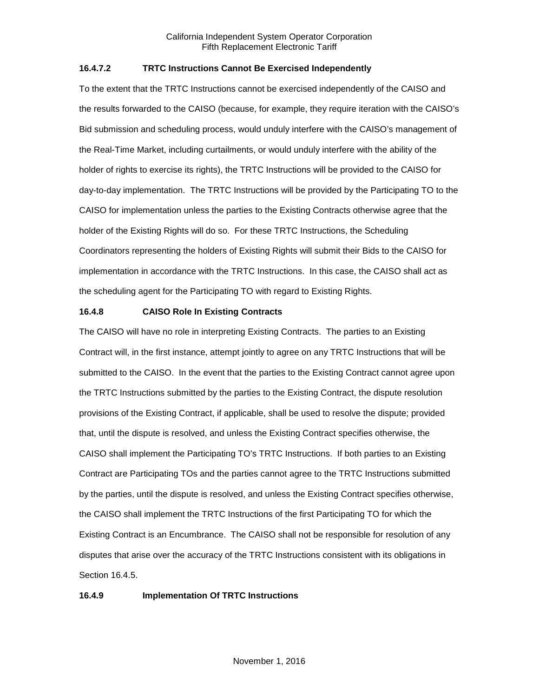# **16.4.7.2 TRTC Instructions Cannot Be Exercised Independently**

To the extent that the TRTC Instructions cannot be exercised independently of the CAISO and the results forwarded to the CAISO (because, for example, they require iteration with the CAISO's Bid submission and scheduling process, would unduly interfere with the CAISO's management of the Real-Time Market, including curtailments, or would unduly interfere with the ability of the holder of rights to exercise its rights), the TRTC Instructions will be provided to the CAISO for day-to-day implementation. The TRTC Instructions will be provided by the Participating TO to the CAISO for implementation unless the parties to the Existing Contracts otherwise agree that the holder of the Existing Rights will do so. For these TRTC Instructions, the Scheduling Coordinators representing the holders of Existing Rights will submit their Bids to the CAISO for implementation in accordance with the TRTC Instructions. In this case, the CAISO shall act as the scheduling agent for the Participating TO with regard to Existing Rights.

# <span id="page-8-0"></span>**16.4.8 CAISO Role In Existing Contracts**

The CAISO will have no role in interpreting Existing Contracts. The parties to an Existing Contract will, in the first instance, attempt jointly to agree on any TRTC Instructions that will be submitted to the CAISO. In the event that the parties to the Existing Contract cannot agree upon the TRTC Instructions submitted by the parties to the Existing Contract, the dispute resolution provisions of the Existing Contract, if applicable, shall be used to resolve the dispute; provided that, until the dispute is resolved, and unless the Existing Contract specifies otherwise, the CAISO shall implement the Participating TO's TRTC Instructions. If both parties to an Existing Contract are Participating TOs and the parties cannot agree to the TRTC Instructions submitted by the parties, until the dispute is resolved, and unless the Existing Contract specifies otherwise, the CAISO shall implement the TRTC Instructions of the first Participating TO for which the Existing Contract is an Encumbrance. The CAISO shall not be responsible for resolution of any disputes that arise over the accuracy of the TRTC Instructions consistent with its obligations in Section 16.4.5.

# <span id="page-8-1"></span>**16.4.9 Implementation Of TRTC Instructions**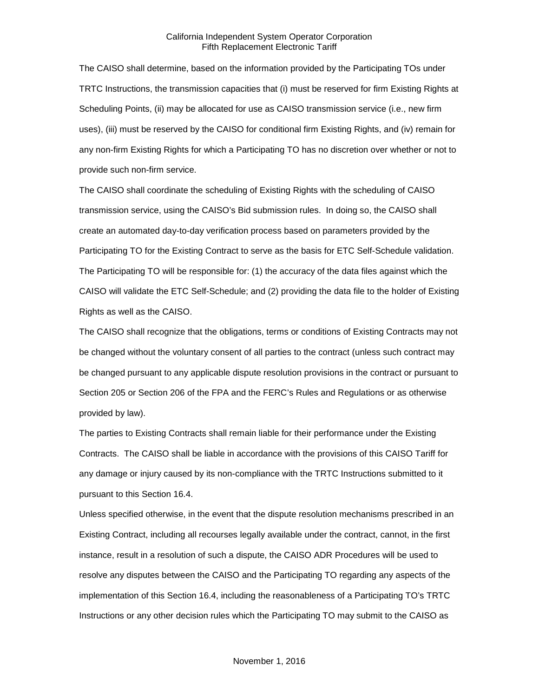The CAISO shall determine, based on the information provided by the Participating TOs under TRTC Instructions, the transmission capacities that (i) must be reserved for firm Existing Rights at Scheduling Points, (ii) may be allocated for use as CAISO transmission service (i.e., new firm uses), (iii) must be reserved by the CAISO for conditional firm Existing Rights, and (iv) remain for any non-firm Existing Rights for which a Participating TO has no discretion over whether or not to provide such non-firm service.

The CAISO shall coordinate the scheduling of Existing Rights with the scheduling of CAISO transmission service, using the CAISO's Bid submission rules. In doing so, the CAISO shall create an automated day-to-day verification process based on parameters provided by the Participating TO for the Existing Contract to serve as the basis for ETC Self-Schedule validation. The Participating TO will be responsible for: (1) the accuracy of the data files against which the CAISO will validate the ETC Self-Schedule; and (2) providing the data file to the holder of Existing Rights as well as the CAISO.

The CAISO shall recognize that the obligations, terms or conditions of Existing Contracts may not be changed without the voluntary consent of all parties to the contract (unless such contract may be changed pursuant to any applicable dispute resolution provisions in the contract or pursuant to Section 205 or Section 206 of the FPA and the FERC's Rules and Regulations or as otherwise provided by law).

The parties to Existing Contracts shall remain liable for their performance under the Existing Contracts. The CAISO shall be liable in accordance with the provisions of this CAISO Tariff for any damage or injury caused by its non-compliance with the TRTC Instructions submitted to it pursuant to this Section 16.4.

Unless specified otherwise, in the event that the dispute resolution mechanisms prescribed in an Existing Contract, including all recourses legally available under the contract, cannot, in the first instance, result in a resolution of such a dispute, the CAISO ADR Procedures will be used to resolve any disputes between the CAISO and the Participating TO regarding any aspects of the implementation of this Section 16.4, including the reasonableness of a Participating TO's TRTC Instructions or any other decision rules which the Participating TO may submit to the CAISO as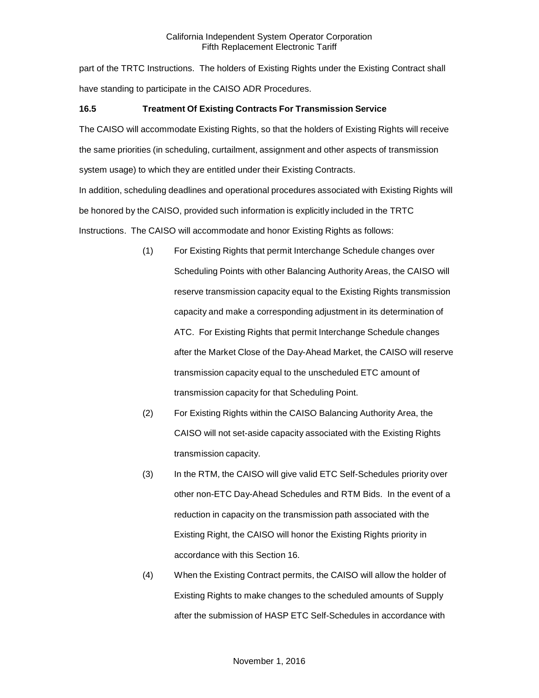part of the TRTC Instructions. The holders of Existing Rights under the Existing Contract shall have standing to participate in the CAISO ADR Procedures.

# <span id="page-10-0"></span>**16.5 Treatment Of Existing Contracts For Transmission Service**

The CAISO will accommodate Existing Rights, so that the holders of Existing Rights will receive the same priorities (in scheduling, curtailment, assignment and other aspects of transmission system usage) to which they are entitled under their Existing Contracts.

In addition, scheduling deadlines and operational procedures associated with Existing Rights will be honored by the CAISO, provided such information is explicitly included in the TRTC Instructions. The CAISO will accommodate and honor Existing Rights as follows:

- (1) For Existing Rights that permit Interchange Schedule changes over Scheduling Points with other Balancing Authority Areas, the CAISO will reserve transmission capacity equal to the Existing Rights transmission capacity and make a corresponding adjustment in its determination of ATC. For Existing Rights that permit Interchange Schedule changes after the Market Close of the Day-Ahead Market, the CAISO will reserve transmission capacity equal to the unscheduled ETC amount of transmission capacity for that Scheduling Point.
- (2) For Existing Rights within the CAISO Balancing Authority Area, the CAISO will not set-aside capacity associated with the Existing Rights transmission capacity.
- (3) In the RTM, the CAISO will give valid ETC Self-Schedules priority over other non-ETC Day-Ahead Schedules and RTM Bids. In the event of a reduction in capacity on the transmission path associated with the Existing Right, the CAISO will honor the Existing Rights priority in accordance with this Section 16.
- (4) When the Existing Contract permits, the CAISO will allow the holder of Existing Rights to make changes to the scheduled amounts of Supply after the submission of HASP ETC Self-Schedules in accordance with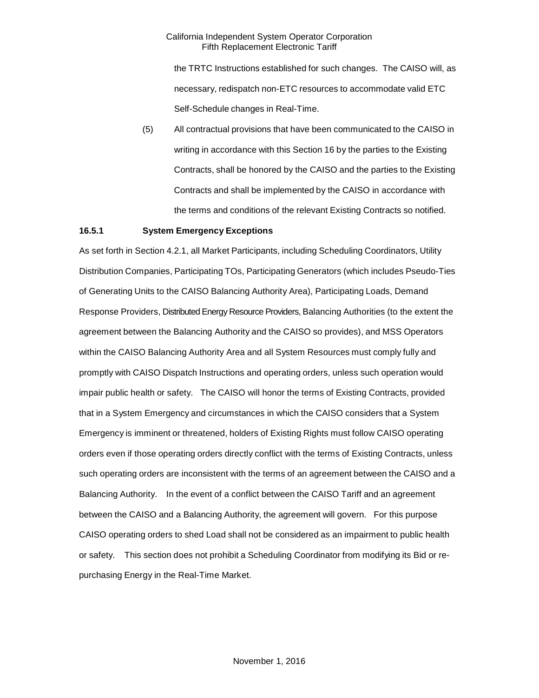the TRTC Instructions established for such changes. The CAISO will, as necessary, redispatch non-ETC resources to accommodate valid ETC Self-Schedule changes in Real-Time.

(5) All contractual provisions that have been communicated to the CAISO in writing in accordance with this Section 16 by the parties to the Existing Contracts, shall be honored by the CAISO and the parties to the Existing Contracts and shall be implemented by the CAISO in accordance with the terms and conditions of the relevant Existing Contracts so notified.

# <span id="page-11-0"></span>**16.5.1 System Emergency Exceptions**

As set forth in Section 4.2.1, all Market Participants, including Scheduling Coordinators, Utility Distribution Companies, Participating TOs, Participating Generators (which includes Pseudo-Ties of Generating Units to the CAISO Balancing Authority Area), Participating Loads, Demand Response Providers, Distributed Energy Resource Providers, Balancing Authorities (to the extent the agreement between the Balancing Authority and the CAISO so provides), and MSS Operators within the CAISO Balancing Authority Area and all System Resources must comply fully and promptly with CAISO Dispatch Instructions and operating orders, unless such operation would impair public health or safety. The CAISO will honor the terms of Existing Contracts, provided that in a System Emergency and circumstances in which the CAISO considers that a System Emergency is imminent or threatened, holders of Existing Rights must follow CAISO operating orders even if those operating orders directly conflict with the terms of Existing Contracts, unless such operating orders are inconsistent with the terms of an agreement between the CAISO and a Balancing Authority. In the event of a conflict between the CAISO Tariff and an agreement between the CAISO and a Balancing Authority, the agreement will govern. For this purpose CAISO operating orders to shed Load shall not be considered as an impairment to public health or safety. This section does not prohibit a Scheduling Coordinator from modifying its Bid or repurchasing Energy in the Real-Time Market.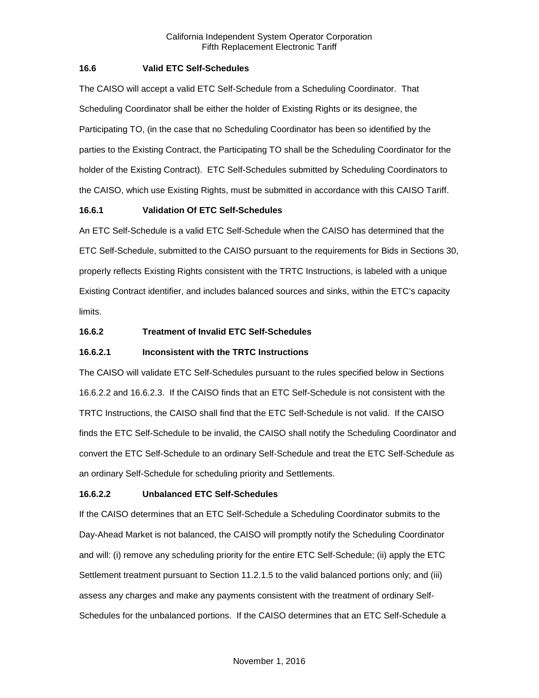# <span id="page-12-0"></span>**16.6 Valid ETC Self-Schedules**

The CAISO will accept a valid ETC Self-Schedule from a Scheduling Coordinator. That Scheduling Coordinator shall be either the holder of Existing Rights or its designee, the Participating TO, (in the case that no Scheduling Coordinator has been so identified by the parties to the Existing Contract, the Participating TO shall be the Scheduling Coordinator for the holder of the Existing Contract). ETC Self-Schedules submitted by Scheduling Coordinators to the CAISO, which use Existing Rights, must be submitted in accordance with this CAISO Tariff.

# <span id="page-12-1"></span>**16.6.1 Validation Of ETC Self-Schedules**

An ETC Self-Schedule is a valid ETC Self-Schedule when the CAISO has determined that the ETC Self-Schedule, submitted to the CAISO pursuant to the requirements for Bids in Sections 30, properly reflects Existing Rights consistent with the TRTC Instructions, is labeled with a unique Existing Contract identifier, and includes balanced sources and sinks, within the ETC's capacity limits.

# <span id="page-12-2"></span>**16.6.2 Treatment of Invalid ETC Self-Schedules**

# **16.6.2.1 Inconsistent with the TRTC Instructions**

The CAISO will validate ETC Self-Schedules pursuant to the rules specified below in Sections 16.6.2.2 and 16.6.2.3. If the CAISO finds that an ETC Self-Schedule is not consistent with the TRTC Instructions, the CAISO shall find that the ETC Self-Schedule is not valid. If the CAISO finds the ETC Self-Schedule to be invalid, the CAISO shall notify the Scheduling Coordinator and convert the ETC Self-Schedule to an ordinary Self-Schedule and treat the ETC Self-Schedule as an ordinary Self-Schedule for scheduling priority and Settlements.

# **16.6.2.2 Unbalanced ETC Self-Schedules**

If the CAISO determines that an ETC Self-Schedule a Scheduling Coordinator submits to the Day-Ahead Market is not balanced, the CAISO will promptly notify the Scheduling Coordinator and will: (i) remove any scheduling priority for the entire ETC Self-Schedule; (ii) apply the ETC Settlement treatment pursuant to Section 11.2.1.5 to the valid balanced portions only; and (iii) assess any charges and make any payments consistent with the treatment of ordinary Self-Schedules for the unbalanced portions. If the CAISO determines that an ETC Self-Schedule a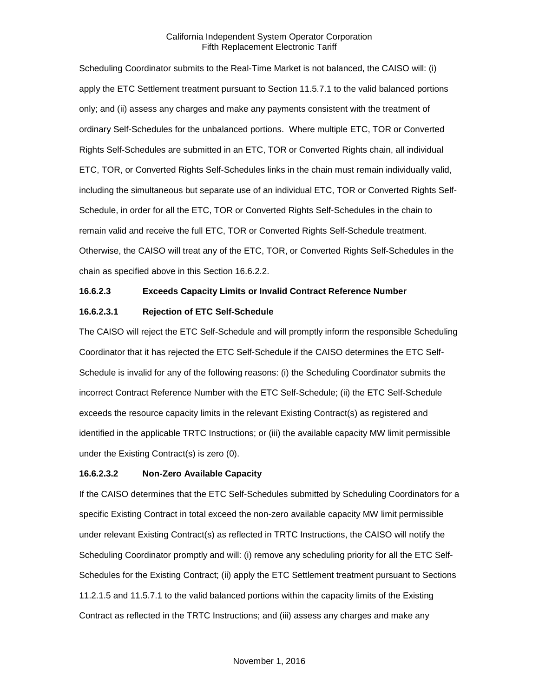Scheduling Coordinator submits to the Real-Time Market is not balanced, the CAISO will: (i) apply the ETC Settlement treatment pursuant to Section 11.5.7.1 to the valid balanced portions only; and (ii) assess any charges and make any payments consistent with the treatment of ordinary Self-Schedules for the unbalanced portions. Where multiple ETC, TOR or Converted Rights Self-Schedules are submitted in an ETC, TOR or Converted Rights chain, all individual ETC, TOR, or Converted Rights Self-Schedules links in the chain must remain individually valid, including the simultaneous but separate use of an individual ETC, TOR or Converted Rights Self-Schedule, in order for all the ETC, TOR or Converted Rights Self-Schedules in the chain to remain valid and receive the full ETC, TOR or Converted Rights Self-Schedule treatment. Otherwise, the CAISO will treat any of the ETC, TOR, or Converted Rights Self-Schedules in the chain as specified above in this Section 16.6.2.2.

# **16.6.2.3 Exceeds Capacity Limits or Invalid Contract Reference Number**

#### **16.6.2.3.1 Rejection of ETC Self-Schedule**

The CAISO will reject the ETC Self-Schedule and will promptly inform the responsible Scheduling Coordinator that it has rejected the ETC Self-Schedule if the CAISO determines the ETC Self-Schedule is invalid for any of the following reasons: (i) the Scheduling Coordinator submits the incorrect Contract Reference Number with the ETC Self-Schedule; (ii) the ETC Self-Schedule exceeds the resource capacity limits in the relevant Existing Contract(s) as registered and identified in the applicable TRTC Instructions; or (iii) the available capacity MW limit permissible under the Existing Contract(s) is zero (0).

#### **16.6.2.3.2 Non-Zero Available Capacity**

If the CAISO determines that the ETC Self-Schedules submitted by Scheduling Coordinators for a specific Existing Contract in total exceed the non-zero available capacity MW limit permissible under relevant Existing Contract(s) as reflected in TRTC Instructions, the CAISO will notify the Scheduling Coordinator promptly and will: (i) remove any scheduling priority for all the ETC Self-Schedules for the Existing Contract; (ii) apply the ETC Settlement treatment pursuant to Sections 11.2.1.5 and 11.5.7.1 to the valid balanced portions within the capacity limits of the Existing Contract as reflected in the TRTC Instructions; and (iii) assess any charges and make any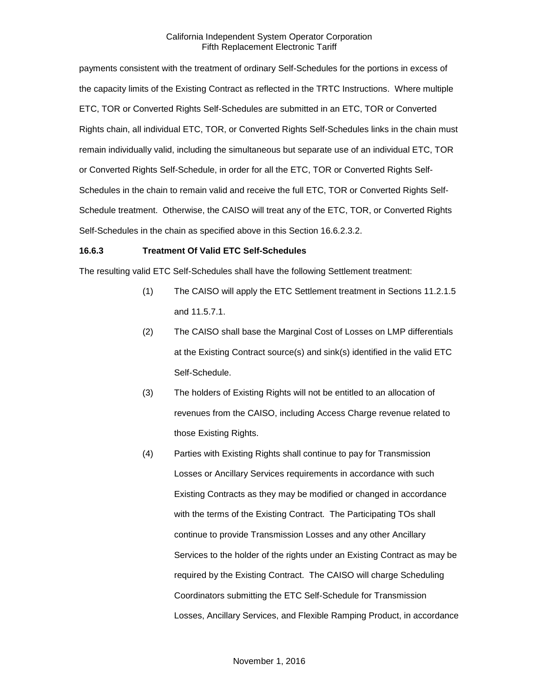payments consistent with the treatment of ordinary Self-Schedules for the portions in excess of the capacity limits of the Existing Contract as reflected in the TRTC Instructions. Where multiple ETC, TOR or Converted Rights Self-Schedules are submitted in an ETC, TOR or Converted Rights chain, all individual ETC, TOR, or Converted Rights Self-Schedules links in the chain must remain individually valid, including the simultaneous but separate use of an individual ETC, TOR or Converted Rights Self-Schedule, in order for all the ETC, TOR or Converted Rights Self-Schedules in the chain to remain valid and receive the full ETC, TOR or Converted Rights Self-Schedule treatment. Otherwise, the CAISO will treat any of the ETC, TOR, or Converted Rights Self-Schedules in the chain as specified above in this Section 16.6.2.3.2.

#### <span id="page-14-0"></span>**16.6.3 Treatment Of Valid ETC Self-Schedules**

The resulting valid ETC Self-Schedules shall have the following Settlement treatment:

- (1) The CAISO will apply the ETC Settlement treatment in Sections 11.2.1.5 and 11.5.7.1.
- (2) The CAISO shall base the Marginal Cost of Losses on LMP differentials at the Existing Contract source(s) and sink(s) identified in the valid ETC Self-Schedule.
- (3) The holders of Existing Rights will not be entitled to an allocation of revenues from the CAISO, including Access Charge revenue related to those Existing Rights.
- (4) Parties with Existing Rights shall continue to pay for Transmission Losses or Ancillary Services requirements in accordance with such Existing Contracts as they may be modified or changed in accordance with the terms of the Existing Contract. The Participating TOs shall continue to provide Transmission Losses and any other Ancillary Services to the holder of the rights under an Existing Contract as may be required by the Existing Contract. The CAISO will charge Scheduling Coordinators submitting the ETC Self-Schedule for Transmission Losses, Ancillary Services, and Flexible Ramping Product, in accordance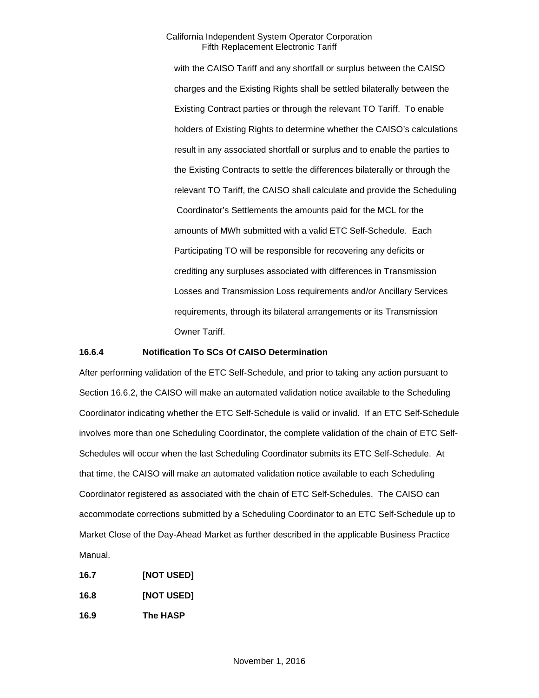with the CAISO Tariff and any shortfall or surplus between the CAISO charges and the Existing Rights shall be settled bilaterally between the Existing Contract parties or through the relevant TO Tariff. To enable holders of Existing Rights to determine whether the CAISO's calculations result in any associated shortfall or surplus and to enable the parties to the Existing Contracts to settle the differences bilaterally or through the relevant TO Tariff, the CAISO shall calculate and provide the Scheduling Coordinator's Settlements the amounts paid for the MCL for the amounts of MWh submitted with a valid ETC Self-Schedule. Each Participating TO will be responsible for recovering any deficits or crediting any surpluses associated with differences in Transmission Losses and Transmission Loss requirements and/or Ancillary Services requirements, through its bilateral arrangements or its Transmission Owner Tariff.

## <span id="page-15-0"></span>**16.6.4 Notification To SCs Of CAISO Determination**

After performing validation of the ETC Self-Schedule, and prior to taking any action pursuant to Section 16.6.2, the CAISO will make an automated validation notice available to the Scheduling Coordinator indicating whether the ETC Self-Schedule is valid or invalid. If an ETC Self-Schedule involves more than one Scheduling Coordinator, the complete validation of the chain of ETC Self-Schedules will occur when the last Scheduling Coordinator submits its ETC Self-Schedule. At that time, the CAISO will make an automated validation notice available to each Scheduling Coordinator registered as associated with the chain of ETC Self-Schedules. The CAISO can accommodate corrections submitted by a Scheduling Coordinator to an ETC Self-Schedule up to Market Close of the Day-Ahead Market as further described in the applicable Business Practice Manual.

<span id="page-15-3"></span><span id="page-15-2"></span><span id="page-15-1"></span>**16.7 [NOT USED] 16.8 [NOT USED] 16.9 The HASP**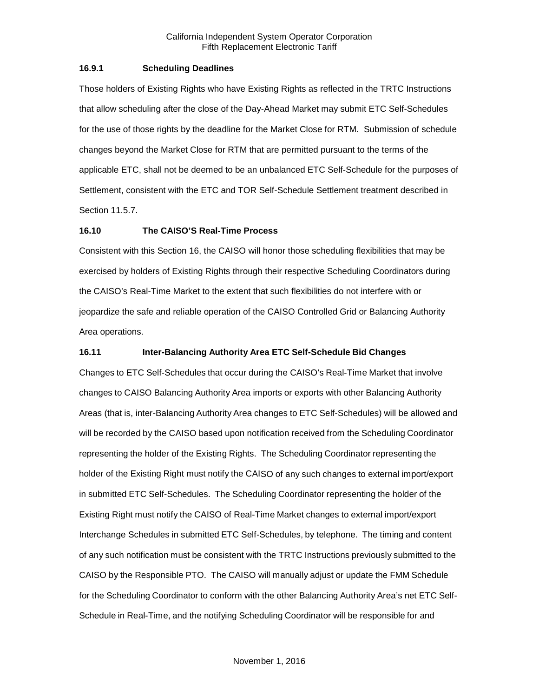# <span id="page-16-0"></span>**16.9.1 Scheduling Deadlines**

Those holders of Existing Rights who have Existing Rights as reflected in the TRTC Instructions that allow scheduling after the close of the Day-Ahead Market may submit ETC Self-Schedules for the use of those rights by the deadline for the Market Close for RTM. Submission of schedule changes beyond the Market Close for RTM that are permitted pursuant to the terms of the applicable ETC, shall not be deemed to be an unbalanced ETC Self-Schedule for the purposes of Settlement, consistent with the ETC and TOR Self-Schedule Settlement treatment described in Section 11.5.7.

#### <span id="page-16-1"></span>**16.10 The CAISO'S Real-Time Process**

Consistent with this Section 16, the CAISO will honor those scheduling flexibilities that may be exercised by holders of Existing Rights through their respective Scheduling Coordinators during the CAISO's Real-Time Market to the extent that such flexibilities do not interfere with or jeopardize the safe and reliable operation of the CAISO Controlled Grid or Balancing Authority Area operations.

## <span id="page-16-2"></span>**16.11 Inter-Balancing Authority Area ETC Self-Schedule Bid Changes**

Changes to ETC Self-Schedules that occur during the CAISO's Real-Time Market that involve changes to CAISO Balancing Authority Area imports or exports with other Balancing Authority Areas (that is, inter-Balancing Authority Area changes to ETC Self-Schedules) will be allowed and will be recorded by the CAISO based upon notification received from the Scheduling Coordinator representing the holder of the Existing Rights. The Scheduling Coordinator representing the holder of the Existing Right must notify the CAISO of any such changes to external import/export in submitted ETC Self-Schedules. The Scheduling Coordinator representing the holder of the Existing Right must notify the CAISO of Real-Time Market changes to external import/export Interchange Schedules in submitted ETC Self-Schedules, by telephone. The timing and content of any such notification must be consistent with the TRTC Instructions previously submitted to the CAISO by the Responsible PTO. The CAISO will manually adjust or update the FMM Schedule for the Scheduling Coordinator to conform with the other Balancing Authority Area's net ETC Self-Schedule in Real-Time, and the notifying Scheduling Coordinator will be responsible for and